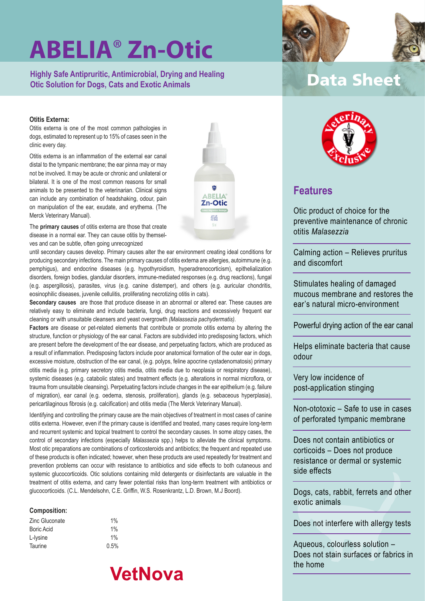**Highly Safe Antipruritic, Antimicrobial, Drying and Healing Otic Solution for Dogs, Cats and Exotic Animals**

### **Otitis Externa:**

Otitis externa is one of the most common pathologies in dogs, estimated to represent up to 15% of cases seen in the clinic every day.

Otitis externa is an inflammation of the external ear canal distal to the tympanic membrane; the ear pinna may or may not be involved. It may be acute or chronic and unilateral or bilateral. It is one of the most common reasons for small animals to be presented to the veterinarian. Clinical signs can include any combination of headshaking, odour, pain on manipulation of the ear, exudate, and erythema. (The Merck Veterinary Manual).

The **primary causes** of otitis externa are those that create disease in a normal ear. They can cause otitis by themselves and can be subtle, often going unrecognized

until secondary causes develop. Primary causes alter the ear environment creating ideal conditions for producing secondary infections. The main primary causes of otitis externa are allergies, autoimmune (e.g. pemphigus), and endocrine diseases (e.g. hypothyroidism, hyperadrenocorticism), epithelialization disorders, foreign bodies, glandular disorders, immune-mediated responses (e.g. drug reactions), fungal (e.g. aspergillosis), parasites, virus (e.g. canine distemper), and others (e.g. auricular chondritis, eosinophilic diseases, juvenile cellulitis, proliferating necrotizing otitis in cats).

**Secondary causes** are those that produce disease in an abnormal or altered ear. These causes are relatively easy to eliminate and include bacteria, fungi, drug reactions and excessively frequent ear cleaning or with unsuitable cleansers and yeast overgrowth *(Malassezia pachydermatis)*.

**Factors** are disease or pet-related elements that contribute or promote otitis externa by altering the structure, function or physiology of the ear canal. Factors are subdivided into predisposing factors, which are present before the development of the ear disease, and perpetuating factors, which are produced as a result of inflammation. Predisposing factors include poor anatomical formation of the outer ear in dogs, excessive moisture, obstruction of the ear canal, (e.g. polyps, feline apocrine cystadenomatosis) primary otitis media (e.g. primary secretory otitis media, otitis media due to neoplasia or respiratory disease), systemic diseases (e.g. catabolic states) and treatment effects (e.g. alterations in normal microflora, or trauma from unsuitable cleansing). Perpetuating factors include changes in the ear epithelium (e.g. failure of migration), ear canal (e.g. oedema, stenosis, proliferation), glands (e.g. sebaceous hyperplasia), pericartilaginous fibrosis (e.g. calcification) and otitis media (The Merck Veterinary Manual).

Identifying and controlling the primary cause are the main objectives of treatment in most cases of canine otitis externa. However, even if the primary cause is identified and treated, many cases require long-term and recurrent systemic and topical treatment to control the secondary causes. In some atopy cases, the control of secondary infections (especially *Malassezia* spp.) helps to alleviate the clinical symptoms. Most otic preparations are combinations of corticosteroids and antibiotics; the frequent and repeated use of these products is often indicated; however, when these products are used repeatedly for treatment and prevention problems can occur with resistance to antibiotics and side effects to both cutaneous and systemic glucocorticoids. Otic solutions containing mild detergents or disinfectants are valuable in the treatment of otitis externa, and carry fewer potential risks than long-term treatment with antibiotics or glucocorticoids. (C.L. Mendelsohn, C.E. Griffin, W.S. Rosenkrantz, L.D. Brown, M.J Boord).

#### **Composition:**

| Zinc Gluconate | 1%    |
|----------------|-------|
| Boric Acid     | $1\%$ |
| L-Iysine       | $1\%$ |
| Taurine        | 0.5%  |







### **Data Sheet**



### **Features**

Otic product of choice for the preventive maintenance of chronic otitis *Malasezzia*

Calming action – Relieves pruritus and discomfort

Stimulates healing of damaged mucous membrane and restores the ear's natural micro-environment

Powerful drying action of the ear canal

Helps eliminate bacteria that cause odour

Very low incidence of post-application stinging

Non-ototoxic – Safe to use in cases of perforated tympanic membrane

Does not contain antibiotics or corticoids – Does not produce resistance or dermal or systemic side effects

Dogs, cats, rabbit, ferrets and other exotic animals

Does not interfere with allergy tests

Aqueous, colourless solution – Does not stain surfaces or fabrics in the home

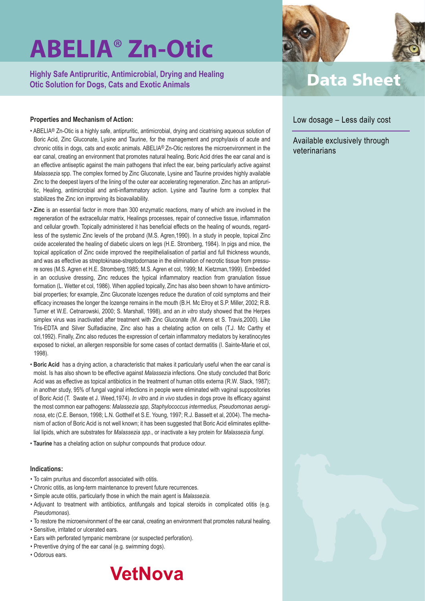**Highly Safe Antipruritic, Antimicrobial, Drying and Healing Otic Solution for Dogs, Cats and Exotic Animals**

### **Properties and Mechanism of Action:**

- ABELIA® Zn-Otic is a highly safe, antipruritic, antimicrobial, drying and cicatrising aqueous solution of Boric Acid, Zinc Gluconate, Lysine and Taurine, for the management and prophylaxis of acute and chronic otitis in dogs, cats and exotic animals. ABELIA® Zn-Otic restores the microenvironment in the ear canal, creating an environment that promotes natural healing. Boric Acid dries the ear canal and is an effective antiseptic against the main pathogens that infect the ear, being particularly active against *Malassezia* spp. The complex formed by Zinc Gluconate, Lysine and Taurine provides highly available Zinc to the deepest layers of the lining of the outer ear accelerating regeneration. Zinc has an antipruritic, Healing, antimicrobial and anti-inflammatory action. Lysine and Taurine form a complex that stabilizes the Zinc ion improving its bioavailability.
- **Zinc** is an essential factor in more than 300 enzymatic reactions, many of which are involved in the regeneration of the extracellular matrix, Healings processes, repair of connective tissue, inflammation and cellular growth. Topically administered it has beneficial effects on the healing of wounds, regardless of the systemic Zinc levels of the proband (M.S. Agren,1990). In a study in people, topical Zinc oxide accelerated the healing of diabetic ulcers on legs (H.E. Stromberg, 1984). In pigs and mice, the topical application of Zinc oxide improved the reepithelialisation of partial and full thickness wounds, and was as effective as streptokinase-streptodornase in the elimination of necrotic tissue from pressure sores (M.S. Agren et H.E. Stromberg,1985; M.S. Agren et col, 1999; M. Kietzman,1999). Embedded in an occlusive dressing, Zinc reduces the typical inflammatory reaction from granulation tissue formation (L. Wetter et col, 1986). When applied topically, Zinc has also been shown to have antimicrobial properties; for example, Zinc Gluconate lozenges reduce the duration of cold symptoms and their efficacy increases the longer the lozenge remains in the mouth (B.H. Mc Elroy et S.P. Miller, 2002; R.B. Turner et W.E. Cetnarowski, 2000; S. Marshall, 1998), and an *in vitro* study showed that the Herpes simplex virus was inactivated after treatment with Zinc Gluconate (M. Arens et S. Travis,2000). Like Tris-EDTA and Silver Sulfadiazine, Zinc also has a chelating action on cells (T.J. Mc Carthy et col,1992). Finally, Zinc also reduces the expression of certain inflammatory mediators by keratinocytes exposed to nickel, an allergen responsible for some cases of contact dermatitis (I. Sainte-Marie et col, 1998).
- **Boric Acid** has a drying action, a characteristic that makes it particularly useful when the ear canal is moist. Is has also shown to be effective against *Malassezia* infections. One study concluded that Boric Acid was as effective as topical antibiotics in the treatment of human otitis externa (R.W. Slack, 1987); in another study, 95% of fungal vaginal infections in people were eliminated with vaginal suppositories of Boric Acid (T. Swate et J. Weed,1974). *In vitro* and *in vivo* studies in dogs prove its efficacy against the most common ear pathogens: *Malassezia spp, Staphylococcus intermedius, Pseudomonas aeruginosa*, etc (C.E. Benson, 1998; L.N. Gotthelf et S.E. Young, 1997; R.J. Bassett et al, 2004). The mechanism of action of Boric Acid is not well known; it has been suggested that Boric Acid eliminates eplithelial lipids, which are substrates for *Malassezia spp*., or inactivate a key protein for *Malassezia fungi*.
- **Taurine** has a chelating action on sulphur compounds that produce odour.

#### **Indications:**

- To calm pruritus and discomfort associated with otitis.
- Chronic otitis, as long-term maintenance to prevent future recurrences.
- Simple acute otitis, particularly those in which the main agent is *Malassezia.*
- Adjuvant to treatment with antibiotics, antifungals and topical steroids in complicated otitis (e.g. *Pseudomonas*).
- To restore the microenvironment of the ear canal, creating an environment that promotes natural healing.
- Sensitive, irritated or ulcerated ears.
- Ears with perforated tympanic membrane (or suspected perforation).
- Preventive drying of the ear canal (e.g. swimming dogs).
- Odorous ears.





## **Data Sheet**

### Low dosage – Less daily cost

Available exclusively through veterinarians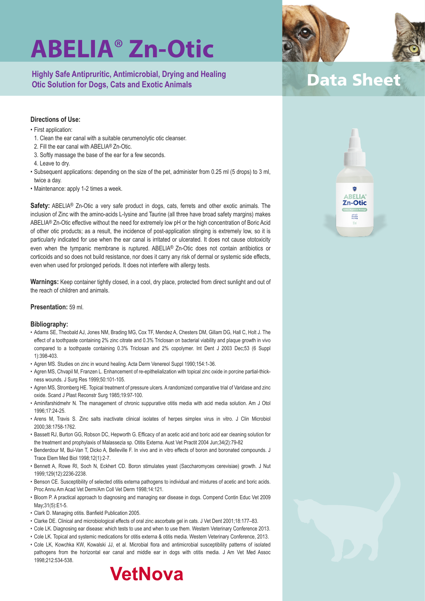**Highly Safe Antipruritic, Antimicrobial, Drying and Healing Otic Solution for Dogs, Cats and Exotic Animals**

### **Directions of Use:**

- First application:
	- 1. Clean the ear canal with a suitable cerumenolytic otic cleanser.
	- 2. Fill the ear canal with ABELIA® Zn-Otic.
	- 3. Softly massage the base of the ear for a few seconds.
	- 4. Leave to dry.
- Subsequent applications: depending on the size of the pet, administer from 0.25 ml (5 drops) to 3 ml, twice a day.
- Maintenance: apply 1-2 times a week.

**Safety:** ABELIA® Zn-Otic a very safe product in dogs, cats, ferrets and other exotic animals. The inclusion of Zinc with the amino-acids L-lysine and Taurine (all three have broad safety margins) makes ABELIA® Zn-Otic effective without the need for extremely low pH or the high concentration of Boric Acid of other otic products; as a result, the incidence of post-application stinging is extremely low, so it is particularly indicated for use when the ear canal is irritated or ulcerated. It does not cause ototoxicity even when the tympanic membrane is ruptured. ABELIA® Zn-Otic does not contain antibiotics or corticoids and so does not build resistance, nor does it carry any risk of dermal or systemic side effects, even when used for prolonged periods. It does not interfere with allergy tests.

**Warnings:** Keep container tightly closed, in a cool, dry place, protected from direct sunlight and out of the reach of children and animals.

#### **Presentation:** 59 ml.

#### **Bibliography:**

- Adams SE, Theobald AJ, Jones NM, Brading MG, Cox TF, Mendez A, Chesters DM, Gillam DG, Hall C, Holt J. The effect of a toothpaste containing 2% zinc citrate and 0.3% Triclosan on bacterial viability and plaque growth in vivo compared to a toothpaste containing 0.3% Triclosan and 2% copolymer. Int Dent J 2003 Dec;53 (6 Suppl 1):398-403.
- Agren MS. Studies on zinc in wound healing. Acta Derm Venereol Suppl 1990;154:1-36.
- Agren MS, Chvapil M, Franzen L. Enhancement of re-epithelialization with topical zinc oxide in porcine partial-thickness wounds. J Surg Res 1999;50:101-105.
- Agren MS, Stromberg HE. Topical treatment of pressure ulcers. A randomized comparative trial of Varidase and zinc oxide. Scand J Plast Reconstr Surg 1985;19:97-100.
- Aminifarshidmehr N. The management of chronic suppurative otitis media with acid media solution. Am J Otol 1996;17:24-25.
- Arens M, Travis S. Zinc salts inactivate clinical isolates of herpes simplex virus in vitro. J Clin Microbiol 2000;38:1758-1762.
- Bassett RJ, Burton GG, Robson DC, Hepworth G. Efficacy of an acetic acid and boric acid ear cleaning solution for the treatment and prophylaxis of Malassezia sp. Otitis Externa. Aust Vet Practit 2004 Jun;34(2):79-82
- Benderdour M, Bui-Van T, Dicko A, Belleville F. In vivo and in vitro effects of boron and boronated compounds. J Trace Elem Med Biol 1998;12(1):2-7.
- Bennett A, Rowe RI, Soch N, Eckhert CD. Boron stimulates yeast (Saccharomyces cerevisiae) growth. J Nut 1999;129(12):2236-2238.
- Benson CE. Susceptibility of selected otitis externa pathogens to individual and mixtures of acetic and boric acids. Proc Annu Am Acad Vet Derm/Am Coll Vet Derm 1998;14:121.
- Bloom P. A practical approach to diagnosing and managing ear disease in dogs. Compend Contin Educ Vet 2009 May;31(5):E1-5.
- Clark D. Managing otitis. Banfield Publication 2005.
- Clarke DE. Clinical and microbiological effects of oral zinc ascorbate gel in cats. J Vet Dent 2001;18:177–83.
- Cole LK. Diagnosing ear disease: which tests to use and when to use them. Western Veterinary Conference 2013.
- Cole LK. Topical and systemic medications for otitis externa & otitis media. Western Veterinary Conference, 2013.
- Cole LK, Kowchka KW, Kowalski JJ, et al. Microbial flora and antimicrobial susceptibility patterns of isolated pathogens from the horizontal ear canal and middle ear in dogs with otitis media. J Am Vet Med Assoc 1998;212:534-538. **VetNova**



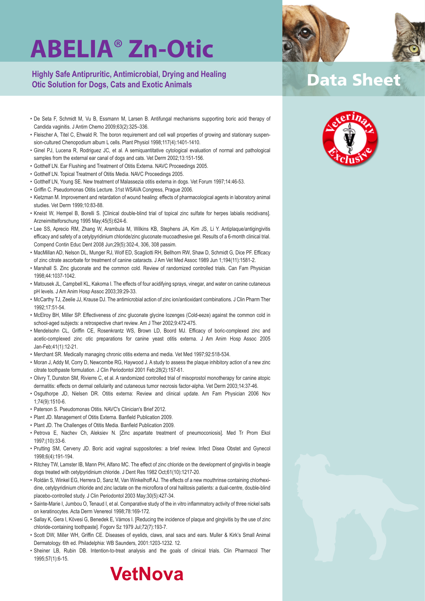**Highly Safe Antipruritic, Antimicrobial, Drying and Healing Otic Solution for Dogs, Cats and Exotic Animals**

- De Seta F, Schmidt M, Vu B, Essmann M, Larsen B. Antifungal mechanisms supporting boric acid therapy of Candida vaginitis. J Antim Chemo 2009;63(2):325–336.
- Fleischer A, Titel C, Ehwald R. The boron requirement and cell wall properties of growing and stationary suspension-cultured Chenopodium album L cells. Plant Physiol 1998;117(4):1401-1410.
- Ginel PJ, Lucena R, Rodriguez JC, et al. A semiquantitative cytological evaluation of normal and pathological samples from the external ear canal of dogs and cats. Vet Derm 2002;13:151-156.
- Gotthelf LN. Ear Flushing and Treatment of Otitis Externa. NAVC Proceedings 2005.
- Gotthelf LN. Topical Treatment of Otitis Media. NAVC Proceedings 2005.
- Gotthelf LN, Young SE. New treatment of Malassezia otitis externa in dogs. Vet Forum 1997;14:46-53.
- Griffin C. Pseudomonas Otitis Lecture. 31st WSAVA Congress, Prague 2006.
- Kietzman M. Improvement and retardation of wound healing: effects of pharmacological agents in laboratory animal studies. Vet Derm 1999;10:83-88.
- Kneist W, Hempel B, Borelli S. [Clinical double-blind trial of topical zinc sulfate for herpes labialis recidivans]. Arzneimittelforschung 1995 May;45(5):624-6.
- Lee SS, Aprecio RM, Zhang W, Arambula M, Wilkins KB, Stephens JA, Kim JS, Li Y. Antiplaque/antigingivitis efficacy and safety of a cetylpyridinium chloride/zinc gluconate mucoadhesive gel. Results of a 6-month clinical trial. Compend Contin Educ Dent 2008 Jun;29(5):302-4, 306, 308 passim.
- MacMillan AD, Nelson DL, Munger RJ, Wolf ED, Scagliotti RH, Bellhorn RW, Shaw D, Schmidt G, Dice PF. Efficacy of zinc citrate ascorbate for treatment of canine cataracts. J Am Vet Med Assoc 1989 Jun 1;194(11):1581-2.
- Marshall S. Zinc gluconate and the common cold. Review of randomized controlled trials. Can Fam Physician 1998;44:1037-1042.
- Matousek JL, Campbell KL, Kakoma I. The effects of four acidifying sprays, vinegar, and water on canine cutaneous pH levels. J Am Anim Hosp Assoc 2003;39:29-33.
- McCarthy TJ, Zeelie JJ, Krause DJ. The antimicrobial action of zinc ion/antioxidant combinations. J Clin Pharm Ther 1992;17:51-54.
- McElroy BH, Miller SP. Effectiveness of zinc gluconate glycine lozenges (Cold-eeze) against the common cold in school-aged subjects: a retrospective chart review. Am J Ther 2002;9:472-475.
- Mendelsohn CL, Griffin CE, Rosenkrantz WS, Brown LD, Boord MJ. Efficacy of boric-complexed zinc and acetic-complexed zinc otic preparations for canine yeast otitis externa. J Am Anim Hosp Assoc 2005 Jan-Feb;41(1):12-21.
- Merchant SR. Medically managing chronic otitis externa and media. Vet Med 1997;92:518-534.
- Moran J, Addy M, Corry D, Newcombe RG, Haywood J. A study to assess the plaque inhibitory action of a new zinc citrate toothpaste formulation. J Clin Periodontol 2001 Feb;28(2):157-61.
- Olivry T, Dunston SM, Rivierre C, et al. A randomized controlled trial of misoprostol monotherapy for canine atopic dermatitis: effects on dermal cellularity and cutaneous tumor necrosis factor-alpha. Vet Derm 2003;14:37-46.
- Osguthorpe JD, Nielsen DR. Otitis externa: Review and clinical update. Am Fam Physician 2006 Nov 1;74(9):1510-6.
- Paterson S. Pseudomonas Otitis. NAVC's Clinician's Brief 2012.
- Plant JD. Management of Otitis Externa. Banfield Publication 2009.
- Plant JD. The Challenges of Otitis Media. Banfield Publication 2009.
- Petrova E, Nachev Ch, Aleksiev N. [Zinc aspartate treatment of pneumoconiosis]. Med Tr Prom Ekol 1997;(10):33-6.
- Prutting SM, Cerveny JD. Boric acid vaginal suppositories: a brief review. Infect Disea Obstet and Gynecol 1998;6(4):191-194.
- Ritchey TW, Lamster IB, Mann PH, Alfano MC. The effect of zinc chloride on the development of gingivitis in beagle dogs treated with cetylpyridinium chloride. J Dent Res 1982 Oct;61(10):1217-20.
- Roldán S, Winkel EG, Herrera D, Sanz M, Van Winkelhoff AJ. The effects of a new mouthrinse containing chlorhexidine, cetylpyridinium chloride and zinc lactate on the microflora of oral halitosis patients: a dual-centre, double-blind placebo-controlled study. J Clin Periodontol 2003 May;30(5):427-34.
- Sainte-Marie I, Jumbou O, Tenaud I, et al. Comparative study of the in vitro inflammatory activity of three nickel salts on keratinocytes. Acta Derm Venereol 1998;78:169-172.
- Sallay K, Gera I, Kövesi G, Benedek E, Vámos I. [Reducing the incidence of plaque and gingivitis by the use of zinc chloride-containing toothpaste]. Fogorv Sz 1979 Jul;72(7):193-7.
- Scott DW, Miller WH, Griffin CE. Diseases of eyelids, claws, anal sacs and ears. Muller & Kirk's Small Animal Dermatology. 6th ed. Philadelphia: WB Saunders, 2001:1203-1232. 12.
- Sheiner LB, Rubin DB. Intention-to-treat analysis and the goals of clinical trials. Clin Pharmacol Ther 1995;57(1):6-15.





## **Data Sheet**